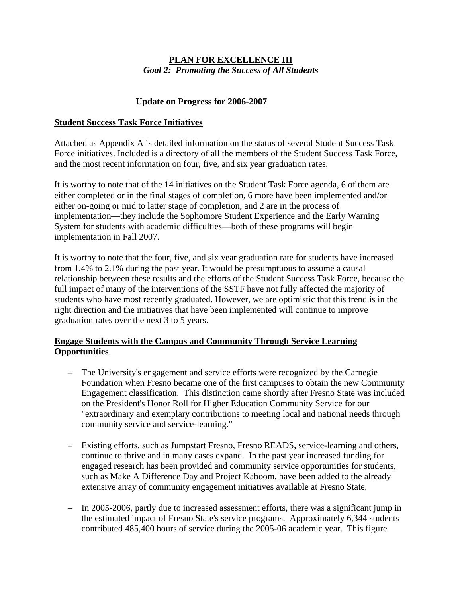# **PLAN FOR EXCELLENCE III** *Goal 2: Promoting the Success of All Students*

# **Update on Progress for 2006-2007**

### **Student Success Task Force Initiatives**

Attached as Appendix A is detailed information on the status of several Student Success Task Force initiatives. Included is a directory of all the members of the Student Success Task Force, and the most recent information on four, five, and six year graduation rates.

It is worthy to note that of the 14 initiatives on the Student Task Force agenda, 6 of them are either completed or in the final stages of completion, 6 more have been implemented and/or either on-going or mid to latter stage of completion, and 2 are in the process of implementation—they include the Sophomore Student Experience and the Early Warning System for students with academic difficulties—both of these programs will begin implementation in Fall 2007.

It is worthy to note that the four, five, and six year graduation rate for students have increased from 1.4% to 2.1% during the past year. It would be presumptuous to assume a causal relationship between these results and the efforts of the Student Success Task Force, because the full impact of many of the interventions of the SSTF have not fully affected the majority of students who have most recently graduated. However, we are optimistic that this trend is in the right direction and the initiatives that have been implemented will continue to improve graduation rates over the next 3 to 5 years.

# **Engage Students with the Campus and Community Through Service Learning Opportunities**

- The University's engagement and service efforts were recognized by the Carnegie Foundation when Fresno became one of the first campuses to obtain the new Community Engagement classification. This distinction came shortly after Fresno State was included on the President's Honor Roll for Higher Education Community Service for our "extraordinary and exemplary contributions to meeting local and national needs through community service and service-learning."
- Existing efforts, such as Jumpstart Fresno, Fresno READS, service-learning and others, continue to thrive and in many cases expand. In the past year increased funding for engaged research has been provided and community service opportunities for students, such as Make A Difference Day and Project Kaboom, have been added to the already extensive array of community engagement initiatives available at Fresno State.
- In 2005-2006, partly due to increased assessment efforts, there was a significant jump in the estimated impact of Fresno State's service programs. Approximately 6,344 students contributed 485,400 hours of service during the 2005-06 academic year. This figure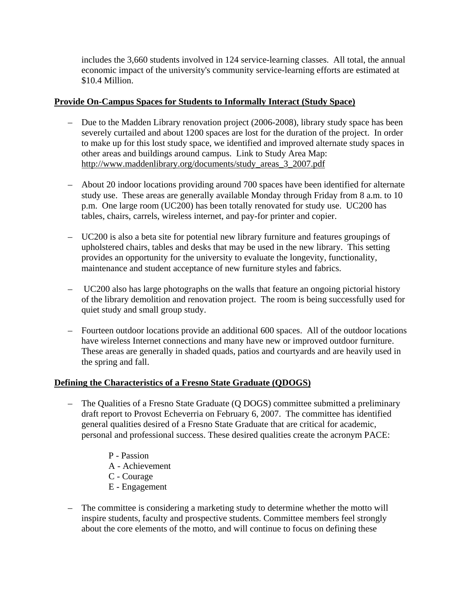includes the 3,660 students involved in 124 service-learning classes. All total, the annual economic impact of the university's community service-learning efforts are estimated at \$10.4 Million.

### **Provide On-Campus Spaces for Students to Informally Interact (Study Space)**

- Due to the Madden Library renovation project (2006-2008), library study space has been severely curtailed and about 1200 spaces are lost for the duration of the project. In order to make up for this lost study space, we identified and improved alternate study spaces in other areas and buildings around campus. Link to Study Area Map: [http://www.maddenlibrary.org/documents/study\\_areas\\_3\\_2007.pdf](http://www.maddenlibrary.org/documents/study_areas_3_2007.pdf)
- About 20 indoor locations providing around 700 spaces have been identified for alternate study use. These areas are generally available Monday through Friday from 8 a.m. to 10 p.m. One large room (UC200) has been totally renovated for study use. UC200 has tables, chairs, carrels, wireless internet, and pay-for printer and copier.
- UC200 is also a beta site for potential new library furniture and features groupings of upholstered chairs, tables and desks that may be used in the new library. This setting provides an opportunity for the university to evaluate the longevity, functionality, maintenance and student acceptance of new furniture styles and fabrics.
- UC200 also has large photographs on the walls that feature an ongoing pictorial history of the library demolition and renovation project. The room is being successfully used for quiet study and small group study.
- Fourteen outdoor locations provide an additional 600 spaces. All of the outdoor locations have wireless Internet connections and many have new or improved outdoor furniture. These areas are generally in shaded quads, patios and courtyards and are heavily used in the spring and fall.

## **Defining the Characteristics of a Fresno State Graduate (QDOGS)**

- The Qualities of a Fresno State Graduate (Q DOGS) committee submitted a preliminary draft report to Provost Echeverria on February 6, 2007. The committee has identified general qualities desired of a Fresno State Graduate that are critical for academic, personal and professional success. These desired qualities create the acronym PACE:
	- P Passion A - Achievement
	- C Courage
	- E Engagement
- The committee is considering a marketing study to determine whether the motto will inspire students, faculty and prospective students. Committee members feel strongly about the core elements of the motto, and will continue to focus on defining these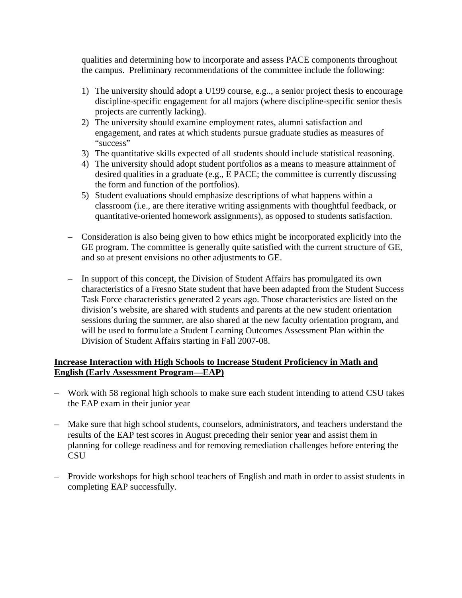qualities and determining how to incorporate and assess PACE components throughout the campus. Preliminary recommendations of the committee include the following:

- 1) The university should adopt a U199 course, e.g.., a senior project thesis to encourage discipline-specific engagement for all majors (where discipline-specific senior thesis projects are currently lacking).
- 2) The university should examine employment rates, alumni satisfaction and engagement, and rates at which students pursue graduate studies as measures of "success"
- 3) The quantitative skills expected of all students should include statistical reasoning.
- 4) The university should adopt student portfolios as a means to measure attainment of desired qualities in a graduate (e.g., E PACE; the committee is currently discussing the form and function of the portfolios).
- 5) Student evaluations should emphasize descriptions of what happens within a classroom (i.e., are there iterative writing assignments with thoughtful feedback, or quantitative-oriented homework assignments), as opposed to students satisfaction.
- Consideration is also being given to how ethics might be incorporated explicitly into the GE program. The committee is generally quite satisfied with the current structure of GE, and so at present envisions no other adjustments to GE.
- In support of this concept, the Division of Student Affairs has promulgated its own characteristics of a Fresno State student that have been adapted from the Student Success Task Force characteristics generated 2 years ago. Those characteristics are listed on the division's website, are shared with students and parents at the new student orientation sessions during the summer, are also shared at the new faculty orientation program, and will be used to formulate a Student Learning Outcomes Assessment Plan within the Division of Student Affairs starting in Fall 2007-08.

## **Increase Interaction with High Schools to Increase Student Proficiency in Math and English (Early Assessment Program—EAP)**

- Work with 58 regional high schools to make sure each student intending to attend CSU takes the EAP exam in their junior year
- Make sure that high school students, counselors, administrators, and teachers understand the results of the EAP test scores in August preceding their senior year and assist them in planning for college readiness and for removing remediation challenges before entering the **CSU**
- Provide workshops for high school teachers of English and math in order to assist students in completing EAP successfully.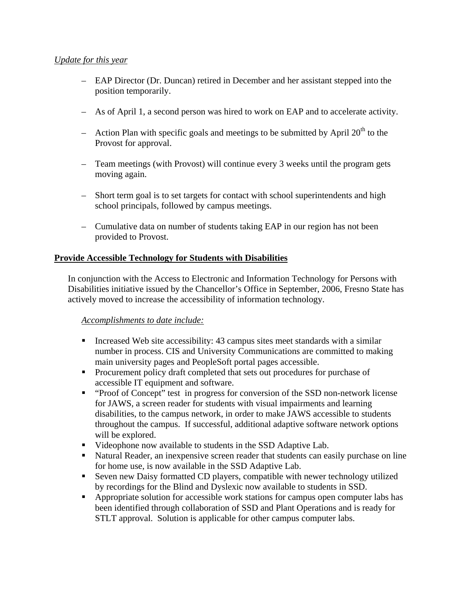### *Update for this year*

- EAP Director (Dr. Duncan) retired in December and her assistant stepped into the position temporarily.
- As of April 1, a second person was hired to work on EAP and to accelerate activity.
- Action Plan with specific goals and meetings to be submitted by April  $20<sup>th</sup>$  to the Provost for approval.
- Team meetings (with Provost) will continue every 3 weeks until the program gets moving again.
- Short term goal is to set targets for contact with school superintendents and high school principals, followed by campus meetings.
- Cumulative data on number of students taking EAP in our region has not been provided to Provost.

# **Provide Accessible Technology for Students with Disabilities**

In conjunction with the Access to Electronic and Information Technology for Persons with Disabilities initiative issued by the Chancellor's Office in September, 2006, Fresno State has actively moved to increase the accessibility of information technology.

## *Accomplishments to date include:*

- Increased Web site accessibility: 43 campus sites meet standards with a similar number in process. CIS and University Communications are committed to making main university pages and PeopleSoft portal pages accessible.
- Procurement policy draft completed that sets out procedures for purchase of accessible IT equipment and software.
- "Proof of Concept" test in progress for conversion of the SSD non-network license for JAWS, a screen reader for students with visual impairments and learning disabilities, to the campus network, in order to make JAWS accessible to students throughout the campus. If successful, additional adaptive software network options will be explored.
- Uideophone now available to students in the SSD Adaptive Lab.
- Natural Reader, an inexpensive screen reader that students can easily purchase on line for home use, is now available in the SSD Adaptive Lab.
- Seven new Daisy formatted CD players, compatible with newer technology utilized by recordings for the Blind and Dyslexic now available to students in SSD.
- Appropriate solution for accessible work stations for campus open computer labs has been identified through collaboration of SSD and Plant Operations and is ready for STLT approval. Solution is applicable for other campus computer labs.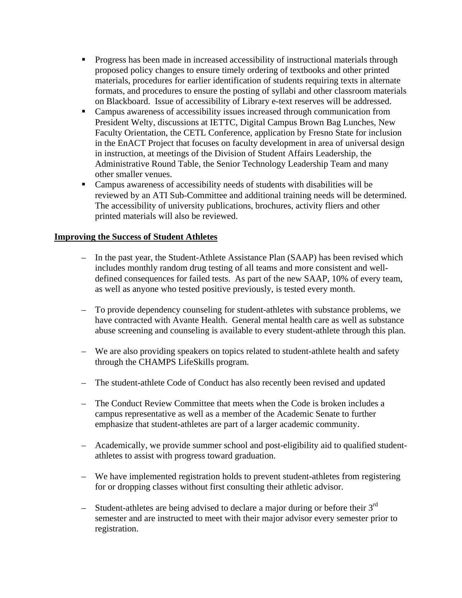- **Progress has been made in increased accessibility of instructional materials through** proposed policy changes to ensure timely ordering of textbooks and other printed materials, procedures for earlier identification of students requiring texts in alternate formats, and procedures to ensure the posting of syllabi and other classroom materials on Blackboard. Issue of accessibility of Library e-text reserves will be addressed.
- Campus awareness of accessibility issues increased through communication from President Welty, discussions at IETTC, Digital Campus Brown Bag Lunches, New Faculty Orientation, the CETL Conference, application by Fresno State for inclusion in the EnACT Project that focuses on faculty development in area of universal design in instruction, at meetings of the Division of Student Affairs Leadership, the Administrative Round Table, the Senior Technology Leadership Team and many other smaller venues.
- Campus awareness of accessibility needs of students with disabilities will be reviewed by an ATI Sub-Committee and additional training needs will be determined. The accessibility of university publications, brochures, activity fliers and other printed materials will also be reviewed.

#### **Improving the Success of Student Athletes**

- In the past year, the Student-Athlete Assistance Plan (SAAP) has been revised which includes monthly random drug testing of all teams and more consistent and welldefined consequences for failed tests. As part of the new SAAP, 10% of every team, as well as anyone who tested positive previously, is tested every month.
- To provide dependency counseling for student-athletes with substance problems, we have contracted with Avante Health. General mental health care as well as substance abuse screening and counseling is available to every student-athlete through this plan.
- We are also providing speakers on topics related to student-athlete health and safety through the CHAMPS LifeSkills program.
- The student-athlete Code of Conduct has also recently been revised and updated
- The Conduct Review Committee that meets when the Code is broken includes a campus representative as well as a member of the Academic Senate to further emphasize that student-athletes are part of a larger academic community.
- Academically, we provide summer school and post-eligibility aid to qualified studentathletes to assist with progress toward graduation.
- We have implemented registration holds to prevent student-athletes from registering for or dropping classes without first consulting their athletic advisor.
- Student-athletes are being advised to declare a major during or before their  $3<sup>rd</sup>$ semester and are instructed to meet with their major advisor every semester prior to registration.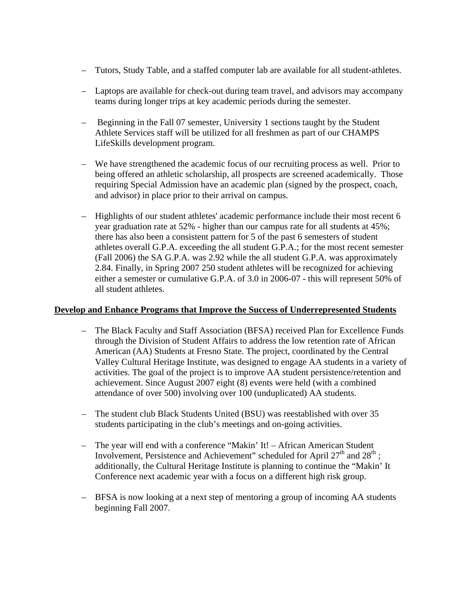- Tutors, Study Table, and a staffed computer lab are available for all student-athletes.
- Laptops are available for check-out during team travel, and advisors may accompany teams during longer trips at key academic periods during the semester.
- Beginning in the Fall 07 semester, University 1 sections taught by the Student Athlete Services staff will be utilized for all freshmen as part of our CHAMPS LifeSkills development program.
- We have strengthened the academic focus of our recruiting process as well. Prior to being offered an athletic scholarship, all prospects are screened academically. Those requiring Special Admission have an academic plan (signed by the prospect, coach, and advisor) in place prior to their arrival on campus.
- Highlights of our student athletes' academic performance include their most recent 6 year graduation rate at 52% - higher than our campus rate for all students at 45%; there has also been a consistent pattern for 5 of the past 6 semesters of student athletes overall G.P.A. exceeding the all student G.P.A.; for the most recent semester (Fall 2006) the SA G.P.A. was 2.92 while the all student G.P.A. was approximately 2.84. Finally, in Spring 2007 250 student athletes will be recognized for achieving either a semester or cumulative G.P.A. of 3.0 in 2006-07 - this will represent 50% of all student athletes.

#### **Develop and Enhance Programs that Improve the Success of Underrepresented Students**

- The Black Faculty and Staff Association (BFSA) received Plan for Excellence Funds through the Division of Student Affairs to address the low retention rate of African American (AA) Students at Fresno State. The project, coordinated by the Central Valley Cultural Heritage Institute, was designed to engage AA students in a variety of activities. The goal of the project is to improve AA student persistence/retention and achievement. Since August 2007 eight (8) events were held (with a combined attendance of over 500) involving over 100 (unduplicated) AA students.
- The student club Black Students United (BSU) was reestablished with over 35 students participating in the club's meetings and on-going activities.
- The year will end with a conference "Makin' It! African American Student Involvement, Persistence and Achievement" scheduled for April  $27<sup>th</sup>$  and  $28<sup>th</sup>$ : additionally, the Cultural Heritage Institute is planning to continue the "Makin' It Conference next academic year with a focus on a different high risk group.
- BFSA is now looking at a next step of mentoring a group of incoming AA students beginning Fall 2007.